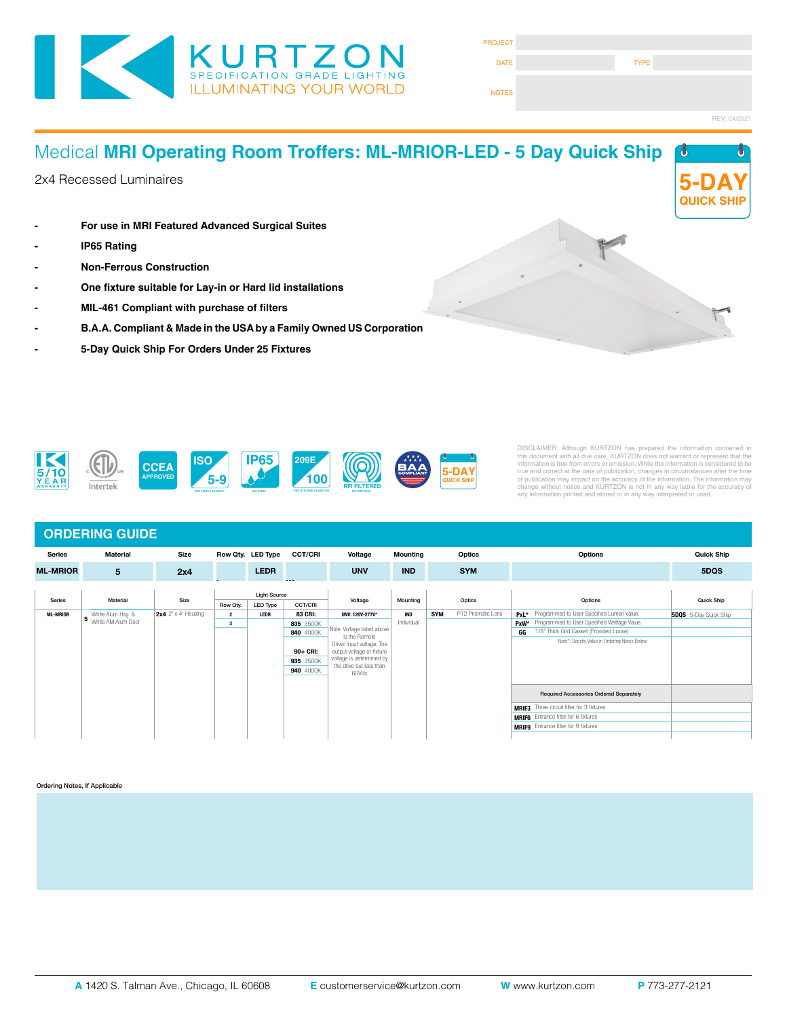

| <b>PROJECT</b> |             |              |
|----------------|-------------|--------------|
| <b>DATE</b>    | <b>TYPE</b> |              |
| <b>NOTES</b>   |             |              |
|                |             | REV: 04/2021 |

### Medical **MRI Operating Room Troffers: ML-MRIOR-LED - 5 Day Quick Ship** 2x4 Recessed Luminaires **- For use in MRI Featured Advanced Surgical Suites - IP65 Rating - Non-Ferrous Construction - One fixture suitable for Lay-in or Hard lid installations - MIL-461 Compliant with purchase of filters - B.A.A. Compliant & Made in the USA by a Family Owned US Corporation - 5-Day Quick Ship For Orders Under 25 Fixtures 5-DAY QUICK SHIP**



DISCLAIMER: Although KURTZON has prepared the information contained in<br>this document with all due care, KURTZON does not warrant or represent that the<br>information is free from errors or omission. While the information is c

### **ORDERING GUIDE**

| <b>Series</b>   | Material                    | <b>Size</b>           |                     | Row Qty. LED Type | <b>CCT/CRI</b> | Voltage                                                                  | <b>Mounting</b> |            | Optics             | <b>Options</b>                                      | <b>Quick Ship</b>            |
|-----------------|-----------------------------|-----------------------|---------------------|-------------------|----------------|--------------------------------------------------------------------------|-----------------|------------|--------------------|-----------------------------------------------------|------------------------------|
| <b>ML-MRIOR</b> | 5                           | 2x4                   |                     | <b>LEDR</b>       |                | <b>UNV</b>                                                               | <b>IND</b>      |            | <b>SYM</b>         |                                                     | 5DQS                         |
|                 | Material                    | Size                  | <b>Light Source</b> |                   |                |                                                                          |                 |            |                    |                                                     |                              |
| Series          |                             |                       | Row Qty.            | LED Type          | <b>CCT/CRI</b> | Voltage                                                                  | Mounting        |            | Optics             | Options                                             | <b>Quick Ship</b>            |
| <b>ML-MRIOR</b> | White Alum Hsg. &           | $2x4$ 2' x 4' Housing | $\overline{2}$      | LEDR              | <b>83 CRI:</b> | UNV: 120V-277V*                                                          | <b>IND</b>      | <b>SYM</b> | P12 Prismatic Lens | PxL* Programmed to User Specified Lumen Value.      | <b>5DQS</b> 5-Day Quick Ship |
|                 | <b>5</b> White AM Alum Door |                       | 3                   |                   | 835 3500K      | Note: Voltage listed above<br>is the Remote<br>Driver input voltage. The | Individual      |            |                    | Programmed to User Specified Wattage Value.<br>PxW* |                              |
|                 |                             |                       |                     |                   | 840 4000K      |                                                                          |                 |            |                    | 1/8" Thick Grid Gasket (Provided Loose)<br>GG       |                              |
|                 |                             |                       |                     |                   |                |                                                                          |                 |            |                    | Note*: Specify Value in Ordering Notes Below        |                              |
|                 |                             |                       |                     |                   | 90+ CRI:       | output voltage or fixture                                                |                 |            |                    |                                                     |                              |
|                 |                             |                       |                     |                   | 935 3500K      | voltage is determined by<br>the drive but less than<br>60Vdc             |                 |            |                    |                                                     |                              |
|                 |                             |                       |                     |                   | 940 4000K      |                                                                          |                 |            |                    |                                                     |                              |
|                 |                             |                       |                     |                   |                |                                                                          |                 |            |                    |                                                     |                              |
|                 |                             |                       |                     |                   |                |                                                                          |                 |            |                    | <b>Required Accessories Ordered Separately</b>      |                              |
|                 |                             |                       |                     |                   |                |                                                                          |                 |            |                    | <b>MRIF3</b> Three circuit filter for 3 fixtures    |                              |
|                 |                             |                       |                     |                   |                |                                                                          |                 |            |                    | <b>MRIF6</b> Entrance filter for 6 fixtures         |                              |
|                 |                             |                       |                     |                   |                |                                                                          |                 |            |                    | <b>MRIF9</b> Entrance filter for 9 fixtures         |                              |
|                 |                             |                       |                     |                   |                |                                                                          |                 |            |                    |                                                     |                              |

#### Ordering Notes, If Applicable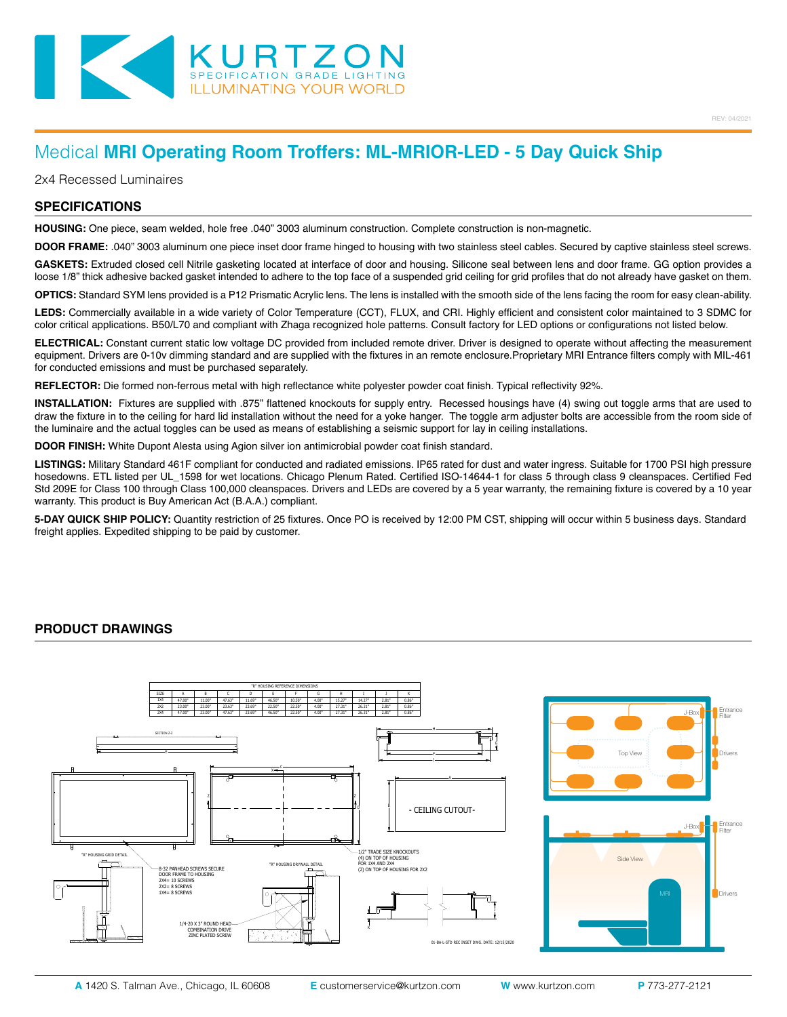

# Medical **MRI Operating Room Troffers: ML-MRIOR-LED - 5 Day Quick Ship**

2x4 Recessed Luminaires

#### **SPECIFICATIONS**

**HOUSING:** One piece, seam welded, hole free .040" 3003 aluminum construction. Complete construction is non-magnetic.

**DOOR FRAME:** .040" 3003 aluminum one piece inset door frame hinged to housing with two stainless steel cables. Secured by captive stainless steel screws.

GASKETS: Extruded closed cell Nitrile gasketing located at interface of door and housing. Silicone seal between lens and door frame. GG option provides a loose 1/8" thick adhesive backed gasket intended to adhere to the top face of a suspended grid ceiling for grid profiles that do not already have gasket on them.

**OPTICS:** Standard SYM lens provided is a P12 Prismatic Acrylic lens. The lens is installed with the smooth side of the lens facing the room for easy clean-ability.

**LEDS:** Commercially available in a wide variety of Color Temperature (CCT), FLUX, and CRI. Highly efficient and consistent color maintained to 3 SDMC for color critical applications. B50/L70 and compliant with Zhaga recognized hole patterns. Consult factory for LED options or configurations not listed below.

**ELECTRICAL:** Constant current static low voltage DC provided from included remote driver. Driver is designed to operate without affecting the measurement equipment. Drivers are 0-10v dimming standard and are supplied with the fixtures in an remote enclosure.Proprietary MRI Entrance filters comply with MIL-461 for conducted emissions and must be purchased separately.

**REFLECTOR:** Die formed non-ferrous metal with high reflectance white polyester powder coat finish. Typical reflectivity 92%.

**INSTALLATION:** Fixtures are supplied with .875" flattened knockouts for supply entry. Recessed housings have (4) swing out toggle arms that are used to draw the fixture in to the ceiling for hard lid installation without the need for a yoke hanger. The toggle arm adjuster bolts are accessible from the room side of the luminaire and the actual toggles can be used as means of establishing a seismic support for lay in ceiling installations.

**DOOR FINISH:** White Dupont Alesta using Agion silver ion antimicrobial powder coat finish standard.

**LISTINGS:** Military Standard 461F compliant for conducted and radiated emissions. IP65 rated for dust and water ingress. Suitable for 1700 PSI high pressure hosedowns. ETL listed per UL\_1598 for wet locations. Chicago Plenum Rated. Certified ISO-14644-1 for class 5 through class 9 cleanspaces. Certified Fed Std 209E for Class 100 through Class 100,000 cleanspaces. Drivers and LEDs are covered by a 5 year warranty, the remaining fixture is covered by a 10 year warranty. This product is Buy American Act (B.A.A.) compliant.

**5-DAY QUICK SHIP POLICY:** Quantity restriction of 25 fixtures. Once PO is received by 12:00 PM CST, shipping will occur within 5 business days. Standard freight applies. Expedited shipping to be paid by customer.

**Housing:** Non-magnetic stainless steel body and spun aluminum housing and plaster frame.

#### **PRODUCT DRAWINGS**



REV: 04/2021